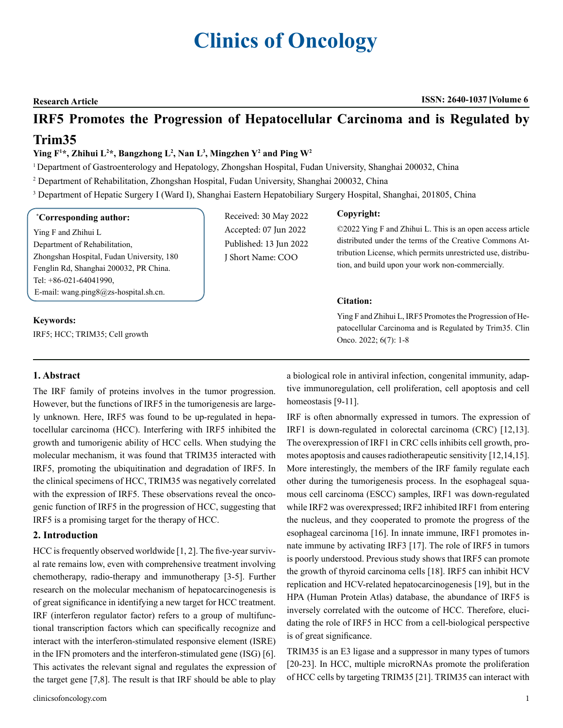# **Clinics of Oncology**

**Research Article ISSN: 2640-1037 Volume 6**

# **IRF5 Promotes the Progression of Hepatocellular Carcinoma and is Regulated by**

# **Trim35**

# **Ying F1 \*, Zhihui L2 \*, Bangzhong L2 , Nan L3 , Mingzhen Y2 and Ping W2**

<sup>1</sup> Department of Gastroenterology and Hepatology, Zhongshan Hospital, Fudan University, Shanghai 200032, China

- 2 Department of Rehabilitation, Zhongshan Hospital, Fudan University, Shanghai 200032, China
- 3 Department of Hepatic Surgery I (Ward I), Shanghai Eastern Hepatobiliary Surgery Hospital, Shanghai, 201805, China

#### **\* Corresponding author:**

Ying F and Zhihui L Department of Rehabilitation, Zhongshan Hospital, Fudan University, 180 Fenglin Rd, Shanghai 200032, PR China. Tel: +86-021-64041990, E-mail: [wang.ping8@zs-hospital.sh.cn](mailto:wang.ping8@zs-hospital.sh.cn).

### **Keywords:**

IRF5; HCC; TRIM35; Cell growth

Received: 30 May 2022 Accepted: 07 Jun 2022 Published: 13 Jun 2022 J Short Name: COO

### **Copyright:**

©2022 Ying F and Zhihui L. This is an open access article distributed under the terms of the Creative Commons Attribution License, which permits unrestricted use, distribution, and build upon your work non-commercially.

### **Citation:**

Ying F and Zhihui L, IRF5 Promotes the Progression of Hepatocellular Carcinoma and is Regulated by Trim35. Clin Onco. 2022; 6(7): 1-8

# **1. Abstract**

The IRF family of proteins involves in the tumor progression. However, but the functions of IRF5 in the tumorigenesis are largely unknown. Here, IRF5 was found to be up-regulated in hepatocellular carcinoma (HCC). Interfering with IRF5 inhibited the growth and tumorigenic ability of HCC cells. When studying the molecular mechanism, it was found that TRIM35 interacted with IRF5, promoting the ubiquitination and degradation of IRF5. In the clinical specimens of HCC, TRIM35 was negatively correlated with the expression of IRF5. These observations reveal the oncogenic function of IRF5 in the progression of HCC, suggesting that IRF5 is a promising target for the therapy of HCC.

# **2. Introduction**

HCC is frequently observed worldwide [1, 2]. The five-year survival rate remains low, even with comprehensive treatment involving chemotherapy, radio-therapy and immunotherapy [3-5]. Further research on the molecular mechanism of hepatocarcinogenesis is of great significance in identifying a new target for HCC treatment. IRF (interferon regulator factor) refers to a group of multifunctional transcription factors which can specifically recognize and interact with the interferon-stimulated responsive element (ISRE) in the IFN promoters and the interferon-stimulated gene (ISG) [6]. This activates the relevant signal and regulates the expression of the target gene [7,8]. The result is that IRF should be able to play

clinicsofoncology.com 1

a biological role in antiviral infection, congenital immunity, adaptive immunoregulation, cell proliferation, cell apoptosis and cell homeostasis [9-11].

IRF is often abnormally expressed in tumors. The expression of IRF1 is down-regulated in colorectal carcinoma (CRC) [12,13]. The overexpression of IRF1 in CRC cells inhibits cell growth, promotes apoptosis and causes radiotherapeutic sensitivity [12,14,15]. More interestingly, the members of the IRF family regulate each other during the tumorigenesis process. In the esophageal squamous cell carcinoma (ESCC) samples, IRF1 was down-regulated while IRF2 was overexpressed; IRF2 inhibited IRF1 from entering the nucleus, and they cooperated to promote the progress of the esophageal carcinoma [16]. In innate immune, IRF1 promotes innate immune by activating IRF3 [17]. The role of IRF5 in tumors is poorly understood. Previous study shows that IRF5 can promote the growth of thyroid carcinoma cells [18]. IRF5 can inhibit HCV replication and HCV-related hepatocarcinogenesis [19], but in the HPA (Human Protein Atlas) database, the abundance of IRF5 is inversely correlated with the outcome of HCC. Therefore, elucidating the role of IRF5 in HCC from a cell-biological perspective is of great significance.

TRIM35 is an E3 ligase and a suppressor in many types of tumors [20-23]. In HCC, multiple microRNAs promote the proliferation of HCC cells by targeting TRIM35 [21]. TRIM35 can interact with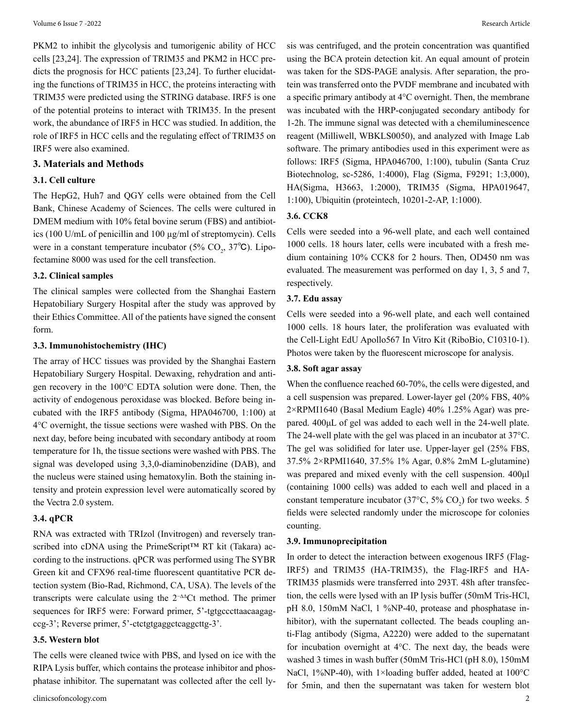PKM2 to inhibit the glycolysis and tumorigenic ability of HCC cells [23,24]. The expression of TRIM35 and PKM2 in HCC predicts the prognosis for HCC patients [23,24]. To further elucidating the functions of TRIM35 in HCC, the proteins interacting with TRIM35 were predicted using the STRING database. IRF5 is one of the potential proteins to interact with TRIM35. In the present work, the abundance of IRF5 in HCC was studied. In addition, the role of IRF5 in HCC cells and the regulating effect of TRIM35 on IRF5 were also examined.

#### **3. Materials and Methods**

#### **3.1. Cell culture**

The HepG2, Huh7 and QGY cells were obtained from the Cell Bank, Chinese Academy of Sciences. The cells were cultured in DMEM medium with 10% fetal bovine serum (FBS) and antibiotics (100 U/mL of penicillin and 100 µg/ml of streptomycin). Cells were in a constant temperature incubator ( $5\%$  CO<sub>2</sub>,  $37^{\circ}$ C). Lipofectamine 8000 was used for the cell transfection.

#### **3.2. Clinical samples**

The clinical samples were collected from the Shanghai Eastern Hepatobiliary Surgery Hospital after the study was approved by their Ethics Committee. All of the patients have signed the consent form.

#### **3.3. Immunohistochemistry (IHC)**

The array of HCC tissues was provided by the Shanghai Eastern Hepatobiliary Surgery Hospital. Dewaxing, rehydration and antigen recovery in the 100°C EDTA solution were done. Then, the activity of endogenous peroxidase was blocked. Before being incubated with the IRF5 antibody (Sigma, HPA046700, 1:100) at 4°C overnight, the tissue sections were washed with PBS. On the next day, before being incubated with secondary antibody at room temperature for 1h, the tissue sections were washed with PBS. The signal was developed using 3,3,0-diaminobenzidine (DAB), and the nucleus were stained using hematoxylin. Both the staining intensity and protein expression level were automatically scored by the Vectra 2.0 system.

#### **3.4. qPCR**

RNA was extracted with TRIzol (Invitrogen) and reversely transcribed into cDNA using the PrimeScript™ RT kit (Takara) according to the instructions. qPCR was performed using The SYBR Green kit and CFX96 real-time fluorescent quantitative PCR detection system (Bio-Rad, Richmond, CA, USA). The levels of the transcripts were calculate using the 2−ΔΔCt method. The primer sequences for IRF5 were: Forward primer, 5'-tgtgcccttaacaagagccg-3'; Reverse primer, 5'-ctctgtgaggctcaggcttg-3'.

#### **3.5. Western blot**

The cells were cleaned twice with PBS, and lysed on ice with the RIPA Lysis buffer, which contains the protease inhibitor and phosphatase inhibitor. The supernatant was collected after the cell lysis was centrifuged, and the protein concentration was quantified using the BCA protein detection kit. An equal amount of protein was taken for the SDS-PAGE analysis. After separation, the protein was transferred onto the PVDF membrane and incubated with a specific primary antibody at 4°C overnight. Then, the membrane was incubated with the HRP-conjugated secondary antibody for 1-2h. The immune signal was detected with a chemiluminescence reagent (Milliwell, WBKLS0050), and analyzed with Image Lab software. The primary antibodies used in this experiment were as follows: IRF5 (Sigma, HPA046700, 1:100), tubulin (Santa Cruz Biotechnolog, sc-5286, 1:4000), Flag (Sigma, F9291; 1:3,000), HA(Sigma, H3663, 1:2000), TRIM35 (Sigma, HPA019647, 1:100), Ubiquitin (proteintech, 10201-2-AP, 1:1000).

# **3.6. CCK8**

Cells were seeded into a 96-well plate, and each well contained 1000 cells. 18 hours later, cells were incubated with a fresh medium containing 10% CCK8 for 2 hours. Then, OD450 nm was evaluated. The measurement was performed on day 1, 3, 5 and 7, respectively.

# **3.7. Edu assay**

Cells were seeded into a 96-well plate, and each well contained 1000 cells. 18 hours later, the proliferation was evaluated with the Cell-Light EdU Apollo567 In Vitro Kit (RiboBio, C10310-1). Photos were taken by the fluorescent microscope for analysis.

# **3.8. Soft agar assay**

When the confluence reached 60-70%, the cells were digested, and a cell suspension was prepared. Lower-layer gel (20% FBS, 40% 2×RPMI1640 (Basal Medium Eagle) 40% 1.25% Agar) was prepared. 400μL of gel was added to each well in the 24-well plate. The 24-well plate with the gel was placed in an incubator at 37°C. The gel was solidified for later use. Upper-layer gel (25% FBS, 37.5% 2×RPMI1640, 37.5% 1% Agar, 0.8% 2mM L-glutamine) was prepared and mixed evenly with the cell suspension. 400μl (containing 1000 cells) was added to each well and placed in a constant temperature incubator ( $37^{\circ}$ C,  $5\%$  CO<sub>2</sub>) for two weeks. 5 fields were selected randomly under the microscope for colonies counting.

#### **3.9. Immunoprecipitation**

In order to detect the interaction between exogenous IRF5 (Flag-IRF5) and TRIM35 (HA-TRIM35), the Flag-IRF5 and HA-TRIM35 plasmids were transferred into 293T. 48h after transfection, the cells were lysed with an IP lysis buffer (50mM Tris-HCl, pH 8.0, 150mM NaCl, 1 %NP-40, protease and phosphatase inhibitor), with the supernatant collected. The beads coupling anti-Flag antibody (Sigma, A2220) were added to the supernatant for incubation overnight at  $4^{\circ}$ C. The next day, the beads were washed 3 times in wash buffer (50mM Tris-HCl (pH 8.0), 150mM NaCl, 1%NP-40), with 1×loading buffer added, heated at 100°C for 5min, and then the supernatant was taken for western blot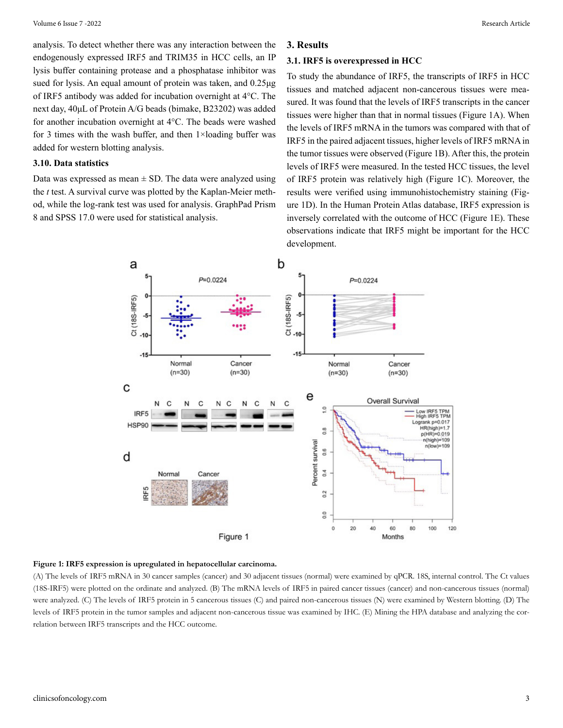analysis. To detect whether there was any interaction between the endogenously expressed IRF5 and TRIM35 in HCC cells, an IP lysis buffer containing protease and a phosphatase inhibitor was sued for lysis. An equal amount of protein was taken, and 0.25μg of IRF5 antibody was added for incubation overnight at 4°C. The next day, 40μL of Protein A/G beads (bimake, B23202) was added for another incubation overnight at 4°C. The beads were washed for 3 times with the wash buffer, and then 1×loading buffer was added for western blotting analysis.

#### **3.10. Data statistics**

Data was expressed as mean  $\pm$  SD. The data were analyzed using the *t* test. A survival curve was plotted by the Kaplan-Meier method, while the log-rank test was used for analysis. GraphPad Prism 8 and SPSS 17.0 were used for statistical analysis.

#### **3. Results**

### **3.1. IRF5 is overexpressed in HCC**

To study the abundance of IRF5, the transcripts of IRF5 in HCC tissues and matched adjacent non-cancerous tissues were measured. It was found that the levels of IRF5 transcripts in the cancer tissues were higher than that in normal tissues (Figure 1A). When the levels of IRF5 mRNA in the tumors was compared with that of IRF5 in the paired adjacent tissues, higher levels of IRF5 mRNA in the tumor tissues were observed (Figure 1B). After this, the protein levels of IRF5 were measured. In the tested HCC tissues, the level of IRF5 protein was relatively high (Figure 1C). Moreover, the results were verified using immunohistochemistry staining (Figure 1D). In the Human Protein Atlas database, IRF5 expression is inversely correlated with the outcome of HCC (Figure 1E). These observations indicate that IRF5 might be important for the HCC development.



#### **Figure 1: IRF5 expression is upregulated in hepatocellular carcinoma.**

(A) The levels of IRF5 mRNA in 30 cancer samples (cancer) and 30 adjacent tissues (normal) were examined by qPCR. 18S, internal control. The Ct values (18S-IRF5) were plotted on the ordinate and analyzed. (B) The mRNA levels of IRF5 in paired cancer tissues (cancer) and non-cancerous tissues (normal) were analyzed. (C) The levels of IRF5 protein in 5 cancerous tissues (C) and paired non-cancerous tissues (N) were examined by Western blotting. (D) The levels of IRF5 protein in the tumor samples and adjacent non-cancerous tissue was examined by IHC. (E) Mining the HPA database and analyzing the correlation between IRF5 transcripts and the HCC outcome.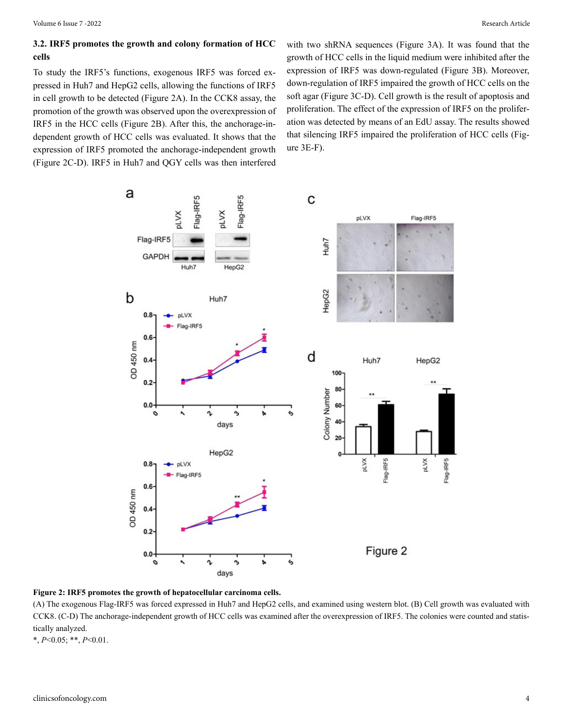# **3.2. IRF5 promotes the growth and colony formation of HCC cells**

To study the IRF5's functions, exogenous IRF5 was forced expressed in Huh7 and HepG2 cells, allowing the functions of IRF5 in cell growth to be detected (Figure 2A). In the CCK8 assay, the promotion of the growth was observed upon the overexpression of IRF5 in the HCC cells (Figure 2B). After this, the anchorage-independent growth of HCC cells was evaluated. It shows that the expression of IRF5 promoted the anchorage-independent growth (Figure 2C-D). IRF5 in Huh7 and QGY cells was then interfered

with two shRNA sequences (Figure 3A). It was found that the growth of HCC cells in the liquid medium were inhibited after the expression of IRF5 was down-regulated (Figure 3B). Moreover, down-regulation of IRF5 impaired the growth of HCC cells on the soft agar (Figure 3C-D). Cell growth is the result of apoptosis and proliferation. The effect of the expression of IRF5 on the proliferation was detected by means of an EdU assay. The results showed that silencing IRF5 impaired the proliferation of HCC cells (Figure 3E-F).



**Figure 2: IRF5 promotes the growth of hepatocellular carcinoma cells.** 

(A) The exogenous Flag-IRF5 was forced expressed in Huh7 and HepG2 cells, and examined using western blot. (B) Cell growth was evaluated with CCK8. (C-D) The anchorage-independent growth of HCC cells was examined after the overexpression of IRF5. The colonies were counted and statistically analyzed.

\*, *P*<0.05; \*\*, *P*<0.01.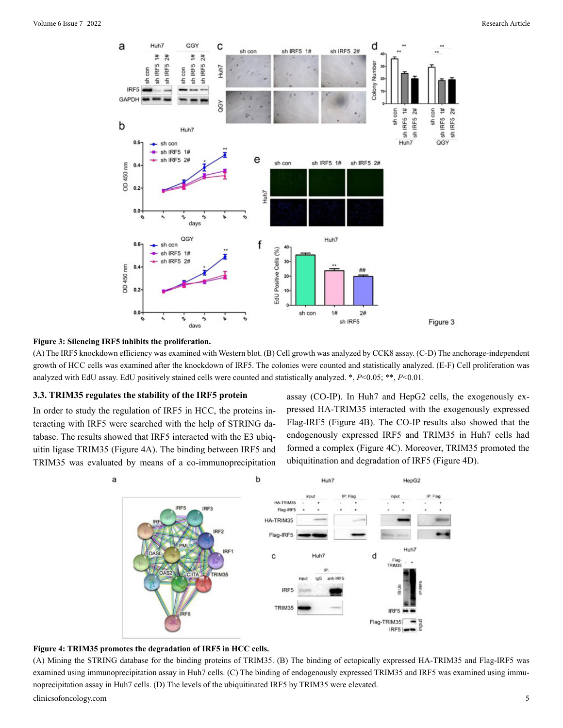

#### **Figure 3: Silencing IRF5 inhibits the proliferation.**

(A) The IRF5 knockdown efficiency was examined with Western blot. (B) Cell growth was analyzed by CCK8 assay. (C-D) The anchorage-independent growth of HCC cells was examined after the knockdown of IRF5. The colonies were counted and statistically analyzed. (E-F) Cell proliferation was analyzed with EdU assay. EdU positively stained cells were counted and statistically analyzed. \*, *P*<0.05; \*\*, *P*<0.01.

#### **3.3. TRIM35 regulates the stability of the IRF5 protein**

In order to study the regulation of IRF5 in HCC, the proteins interacting with IRF5 were searched with the help of STRING database. The results showed that IRF5 interacted with the E3 ubiquitin ligase TRIM35 (Figure 4A). The binding between IRF5 and TRIM35 was evaluated by means of a co-immunoprecipitation assay (CO-IP). In Huh7 and HepG2 cells, the exogenously expressed HA-TRIM35 interacted with the exogenously expressed Flag-IRF5 (Figure 4B). The CO-IP results also showed that the endogenously expressed IRF5 and TRIM35 in Huh7 cells had formed a complex (Figure 4C). Moreover, TRIM35 promoted the ubiquitination and degradation of IRF5 (Figure 4D).





(A) Mining the STRING database for the binding proteins of TRIM35. (B) The binding of ectopically expressed HA-TRIM35 and Flag-IRF5 was examined using immunoprecipitation assay in Huh7 cells. (C) The binding of endogenously expressed TRIM35 and IRF5 was examined using immunoprecipitation assay in Huh7 cells. (D) The levels of the ubiquitinated IRF5 by TRIM35 were elevated.

clinicsofoncology.com 5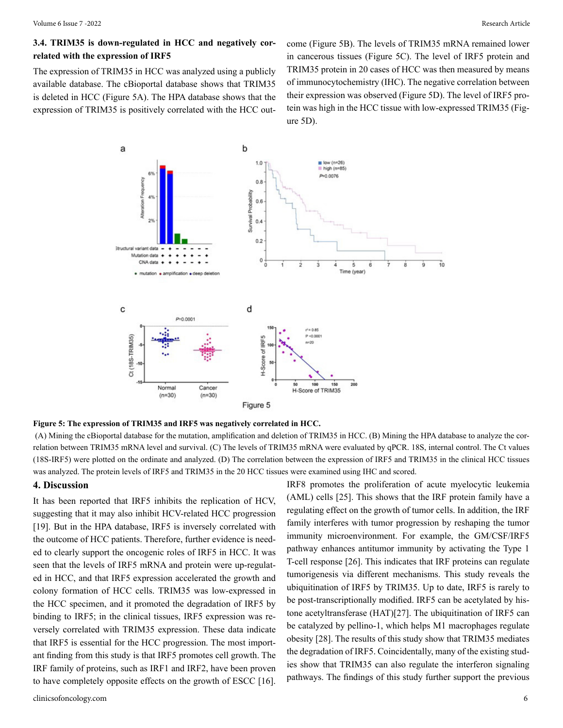# **3.4. TRIM35 is down-regulated in HCC and negatively correlated with the expression of IRF5**

The expression of TRIM35 in HCC was analyzed using a publicly available database. The cBioportal database shows that TRIM35 is deleted in HCC (Figure 5A). The HPA database shows that the expression of TRIM35 is positively correlated with the HCC outcome (Figure 5B). The levels of TRIM35 mRNA remained lower in cancerous tissues (Figure 5C). The level of IRF5 protein and TRIM35 protein in 20 cases of HCC was then measured by means of immunocytochemistry (IHC). The negative correlation between their expression was observed (Figure 5D). The level of IRF5 protein was high in the HCC tissue with low-expressed TRIM35 (Figure 5D).



**Figure 5: The expression of TRIM35 and IRF5 was negatively correlated in HCC.**

(A) Mining the cBioportal database for the mutation, amplification and deletion of TRIM35 in HCC. (B) Mining the HPA database to analyze the correlation between TRIM35 mRNA level and survival. (C) The levels of TRIM35 mRNA were evaluated by qPCR. 18S, internal control. The Ct values (18S-IRF5) were plotted on the ordinate and analyzed. (D) The correlation between the expression of IRF5 and TRIM35 in the clinical HCC tissues was analyzed. The protein levels of IRF5 and TRIM35 in the 20 HCC tissues were examined using IHC and scored.

#### **4. Discussion**

It has been reported that IRF5 inhibits the replication of HCV, suggesting that it may also inhibit HCV-related HCC progression [19]. But in the HPA database, IRF5 is inversely correlated with the outcome of HCC patients. Therefore, further evidence is needed to clearly support the oncogenic roles of IRF5 in HCC. It was seen that the levels of IRF5 mRNA and protein were up-regulated in HCC, and that IRF5 expression accelerated the growth and colony formation of HCC cells. TRIM35 was low-expressed in the HCC specimen, and it promoted the degradation of IRF5 by binding to IRF5; in the clinical tissues, IRF5 expression was reversely correlated with TRIM35 expression. These data indicate that IRF5 is essential for the HCC progression. The most important finding from this study is that IRF5 promotes cell growth. The IRF family of proteins, such as IRF1 and IRF2, have been proven to have completely opposite effects on the growth of ESCC [16]. IRF8 promotes the proliferation of acute myelocytic leukemia (AML) cells [25]. This shows that the IRF protein family have a regulating effect on the growth of tumor cells. In addition, the IRF family interferes with tumor progression by reshaping the tumor immunity microenvironment. For example, the GM/CSF/IRF5 pathway enhances antitumor immunity by activating the Type 1 T-cell response [26]. This indicates that IRF proteins can regulate tumorigenesis via different mechanisms. This study reveals the ubiquitination of IRF5 by TRIM35. Up to date, IRF5 is rarely to be post-transcriptionally modified. IRF5 can be acetylated by histone acetyltransferase (HAT)[27]. The ubiquitination of IRF5 can be catalyzed by pellino-1, which helps M1 macrophages regulate obesity [28]. The results of this study show that TRIM35 mediates the degradation of IRF5. Coincidentally, many of the existing studies show that TRIM35 can also regulate the interferon signaling pathways. The findings of this study further support the previous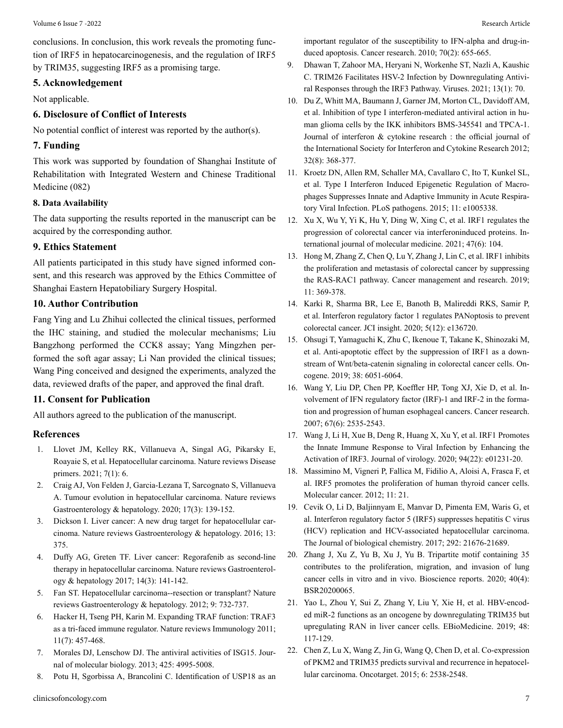# **5. Acknowledgement**

Not applicable.

# **6. Disclosure of Conflict of Interests**

No potential conflict of interest was reported by the author(s).

# **7. Funding**

This work was supported by foundation of Shanghai Institute of Rehabilitation with Integrated Western and Chinese Traditional Medicine (082)

# **8. Data Availability**

The data supporting the results reported in the manuscript can be acquired by the corresponding author.

# **9. Ethics Statement**

All patients participated in this study have signed informed consent, and this research was approved by the Ethics Committee of Shanghai Eastern Hepatobiliary Surgery Hospital.

# **10. Author Contribution**

Fang Ying and Lu Zhihui collected the clinical tissues, performed the IHC staining, and studied the molecular mechanisms; Liu Bangzhong performed the CCK8 assay; Yang Mingzhen performed the soft agar assay; Li Nan provided the clinical tissues; Wang Ping conceived and designed the experiments, analyzed the data, reviewed drafts of the paper, and approved the final draft.

# **11. Consent for Publication**

All authors agreed to the publication of the manuscript.

# **References**

- 1. [Llovet JM, Kelley RK, Villanueva A, Singal AG, Pikarsky E,](https://pubmed.ncbi.nlm.nih.gov/33479224/) [Roayaie S, et al. Hepatocellular carcinoma. Nature reviews Disease](https://pubmed.ncbi.nlm.nih.gov/33479224/)  [primers. 2021; 7\(1\): 6.](https://pubmed.ncbi.nlm.nih.gov/33479224/)
- 2. [Craig AJ, Von Felden J, Garcia-Lezana T, Sarcognato S, Villanueva](https://pubmed.ncbi.nlm.nih.gov/31792430/)  [A. Tumour evolution in hepatocellular carcinoma. Nature reviews](https://pubmed.ncbi.nlm.nih.gov/31792430/) [Gastroenterology & hepatology. 2020; 17\(3\): 139-152.](https://pubmed.ncbi.nlm.nih.gov/31792430/)
- 3. Dickson I. Liver cancer: A new drug target for hepatocellular carcinoma. Nature reviews Gastroenterology & hepatology. 2016; 13: 375.
- 4. [Duffy AG, Greten TF. Liver cancer: Regorafenib as second-line](https://pubmed.ncbi.nlm.nih.gov/28174418/) [therapy in hepatocellular carcinoma. Nature reviews Gastroenterol](https://pubmed.ncbi.nlm.nih.gov/28174418/)[ogy & hepatology 2017; 14\(3\): 141-142.](https://pubmed.ncbi.nlm.nih.gov/28174418/)
- 5. Fan ST. Hepatocellular carcinoma--resection or transplant? Nature reviews Gastroenterology & hepatology. 2012; 9: 732-737.
- 6. [Hacker H, Tseng PH, Karin M. Expanding TRAF function: TRAF3](https://pubmed.ncbi.nlm.nih.gov/21660053/)  [as a tri-faced immune regulator. Nature reviews Immunology 2011;](https://pubmed.ncbi.nlm.nih.gov/21660053/) [11\(7\): 457-468.](https://pubmed.ncbi.nlm.nih.gov/21660053/)
- 7. [Morales DJ, Lenschow DJ. The antiviral activities of ISG15. Jour](https://pubmed.ncbi.nlm.nih.gov/24095857/)[nal of molecular biology. 2013; 425: 4995-5008.](https://pubmed.ncbi.nlm.nih.gov/24095857/)
- 8. [Potu H, Sgorbissa A, Brancolini C. Identification of USP18 as an](https://pubmed.ncbi.nlm.nih.gov/20068173/)

[important regulator of the susceptibility to IFN-alpha and drug-in](https://pubmed.ncbi.nlm.nih.gov/20068173/)[duced apoptosis. Cancer research. 2010; 70\(2\): 655-665.](https://pubmed.ncbi.nlm.nih.gov/20068173/)

- 9. [Dhawan T, Zahoor MA, Heryani N, Workenhe ST, Nazli A, Kaushic](https://pubmed.ncbi.nlm.nih.gov/33419081/) [C. TRIM26 Facilitates HSV-2 Infection by Downregulating Antivi](https://pubmed.ncbi.nlm.nih.gov/33419081/)[ral Responses through the IRF3 Pathway. Viruses. 2021; 13\(1\): 70.](https://pubmed.ncbi.nlm.nih.gov/33419081/)
- 10. [Du Z, Whitt MA, Baumann J, Garner JM, Morton CL, Davidoff AM,](https://www.ncbi.nlm.nih.gov/pmc/articles/PMC3422054/) [et al. Inhibition of type I interferon-mediated antiviral action in hu](https://www.ncbi.nlm.nih.gov/pmc/articles/PMC3422054/)[man glioma cells by the IKK inhibitors BMS-345541 and TPCA-1.](https://www.ncbi.nlm.nih.gov/pmc/articles/PMC3422054/) [Journal of interferon & cytokine research : the official journal of](https://www.ncbi.nlm.nih.gov/pmc/articles/PMC3422054/) [the International Society for Interferon and Cytokine Research 2012;](https://www.ncbi.nlm.nih.gov/pmc/articles/PMC3422054/) [32\(8\): 368-377.](https://www.ncbi.nlm.nih.gov/pmc/articles/PMC3422054/)
- 11. [Kroetz DN, Allen RM, Schaller MA, Cavallaro C, Ito T, Kunkel SL,](https://pubmed.ncbi.nlm.nih.gov/26709698/)  [et al. Type I Interferon Induced Epigenetic Regulation of Macro](https://pubmed.ncbi.nlm.nih.gov/26709698/)[phages Suppresses Innate and Adaptive Immunity in Acute Respira](https://pubmed.ncbi.nlm.nih.gov/26709698/)[tory Viral Infection. PLoS pathogens. 2015; 11: e1005338.](https://pubmed.ncbi.nlm.nih.gov/26709698/)
- 12. [Xu X, Wu Y, Yi K, Hu Y, Ding W, Xing C, et al. IRF1 regulates the](https://www.ncbi.nlm.nih.gov/pmc/articles/PMC8054637/)  [progression of colorectal cancer via interferoninduced proteins. In](https://www.ncbi.nlm.nih.gov/pmc/articles/PMC8054637/)[ternational journal of molecular medicine. 2021; 47\(6\): 104.](https://www.ncbi.nlm.nih.gov/pmc/articles/PMC8054637/)
- 13. [Hong M, Zhang Z, Chen Q, Lu Y, Zhang J, Lin C, et al. IRF1 inhibits](https://pubmed.ncbi.nlm.nih.gov/30643462/) [the proliferation and metastasis of colorectal cancer by suppressing](https://pubmed.ncbi.nlm.nih.gov/30643462/)  [the RAS-RAC1 pathway. Cancer management and research. 2019;](https://pubmed.ncbi.nlm.nih.gov/30643462/) [11: 369-378.](https://pubmed.ncbi.nlm.nih.gov/30643462/)
- 14. [Karki R, Sharma BR, Lee E, Banoth B, Malireddi RKS, Samir P,](https://pubmed.ncbi.nlm.nih.gov/32554929/) [et al. Interferon regulatory factor 1 regulates PANoptosis to prevent](https://pubmed.ncbi.nlm.nih.gov/32554929/) [colorectal cancer. JCI insight. 2020; 5\(12\): e136720.](https://pubmed.ncbi.nlm.nih.gov/32554929/)
- 15. Ohsugi T, Yamaguchi K, Zhu C, Ikenoue T, Takane K, Shinozaki M, et al. Anti-apoptotic effect by the suppression of IRF1 as a downstream of Wnt/beta-catenin signaling in colorectal cancer cells. Oncogene. 2019; 38: 6051-6064.
- 16. [Wang Y, Liu DP, Chen PP, Koeffler HP, Tong XJ, Xie D, et al. In](https://pubmed.ncbi.nlm.nih.gov/17363571/)[volvement of IFN regulatory factor \(IRF\)-1 and IRF-2 in the forma](https://pubmed.ncbi.nlm.nih.gov/17363571/)[tion and progression of human esophageal cancers. Cancer research.](https://pubmed.ncbi.nlm.nih.gov/17363571/) [2007; 67\(6\): 2535-2543.](https://pubmed.ncbi.nlm.nih.gov/17363571/)
- 17. [Wang J, Li H, Xue B, Deng R, Huang X, Xu Y, et al. IRF1 Promotes](https://pubmed.ncbi.nlm.nih.gov/32878885/) [the Innate Immune Response to Viral Infection by Enhancing the](https://pubmed.ncbi.nlm.nih.gov/32878885/) [Activation of IRF3. Journal of virology. 2020; 94\(22\): e01231-20.](https://pubmed.ncbi.nlm.nih.gov/32878885/)
- 18. [Massimino M, Vigneri P, Fallica M, Fidilio A, Aloisi A, Frasca F, et](https://pubmed.ncbi.nlm.nih.gov/22507190/) [al. IRF5 promotes the proliferation of human thyroid cancer cells.](https://pubmed.ncbi.nlm.nih.gov/22507190/) [Molecular cancer. 2012; 11: 21.](https://pubmed.ncbi.nlm.nih.gov/22507190/)
- 19. [Cevik O, Li D, Baljinnyam E, Manvar D, Pimenta EM, Waris G, et](https://pubmed.ncbi.nlm.nih.gov/29079574/) [al. Interferon regulatory factor 5 \(IRF5\) suppresses hepatitis C virus](https://pubmed.ncbi.nlm.nih.gov/29079574/) [\(HCV\) replication and HCV-associated hepatocellular carcinoma.](https://pubmed.ncbi.nlm.nih.gov/29079574/) [The Journal of biological chemistry. 2017; 292: 21676-21689.](https://pubmed.ncbi.nlm.nih.gov/29079574/)
- 20. [Zhang J, Xu Z, Yu B, Xu J, Yu B. Tripartite motif containing 35](https://pubmed.ncbi.nlm.nih.gov/32293015/)  [contributes to the proliferation, migration, and invasion of lung](https://pubmed.ncbi.nlm.nih.gov/32293015/) [cancer cells in vitro and in vivo. Bioscience reports. 2020; 40\(4\):](https://pubmed.ncbi.nlm.nih.gov/32293015/)  [BSR20200065.](https://pubmed.ncbi.nlm.nih.gov/32293015/)
- 21. [Yao L, Zhou Y, Sui Z, Zhang Y, Liu Y, Xie H, et al. HBV-encod](https://www.ncbi.nlm.nih.gov/pmc/articles/PMC6838411/)[ed miR-2 functions as an oncogene by downregulating TRIM35 but](https://www.ncbi.nlm.nih.gov/pmc/articles/PMC6838411/) [upregulating RAN in liver cancer cells. EBioMedicine. 2019; 48:](https://www.ncbi.nlm.nih.gov/pmc/articles/PMC6838411/) [117-129.](https://www.ncbi.nlm.nih.gov/pmc/articles/PMC6838411/)
- 22. [Chen Z, Lu X, Wang Z, Jin G, Wang Q, Chen D, et al. Co-expression](https://pubmed.ncbi.nlm.nih.gov/25576919/) [of PKM2 and TRIM35 predicts survival and recurrence in hepatocel](https://pubmed.ncbi.nlm.nih.gov/25576919/)[lular carcinoma. Oncotarget. 2015; 6: 2538-2548.](https://pubmed.ncbi.nlm.nih.gov/25576919/)